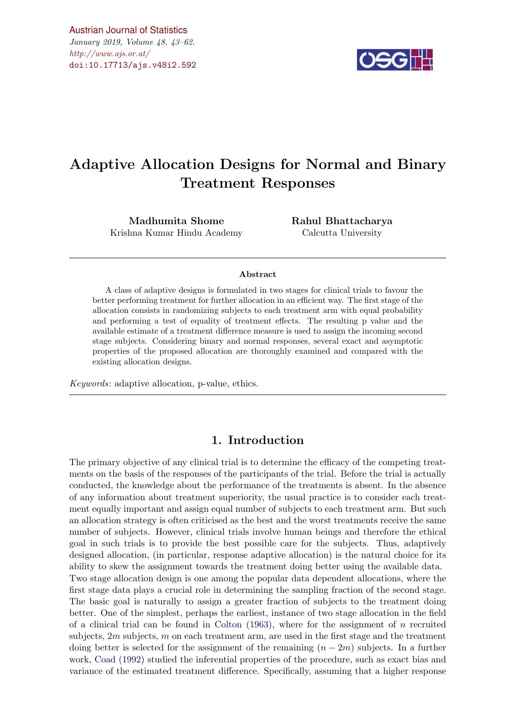$\#http://www.ajs.or.at/$  $\#http://www.ajs.or.at/$ [Austrian Journal of Statistics](http://www.ajs.or.at) January 2019, Volume 48, 43–62. [doi:10.17713/ajs.v48i2.592](http://dx.doi.org/10.17713/ajs.v48i2.592)



# Adaptive Allocation Designs for Normal and Binary Treatment Responses

Madhumita Shome Krishna Kumar Hindu Academy Rahul Bhattacharya Calcutta University

#### Abstract

A class of adaptive designs is formulated in two stages for clinical trials to favour the better performing treatment for further allocation in an efficient way. The first stage of the allocation consists in randomizing subjects to each treatment arm with equal probability and performing a test of equality of treatment effects. The resulting p value and the available estimate of a treatment difference measure is used to assign the incoming second stage subjects. Considering binary and normal responses, several exact and asymptotic properties of the proposed allocation are thoroughly examined and compared with the existing allocation designs.

Keywords: adaptive allocation, p-value, ethics.

## 1. Introduction

The primary objective of any clinical trial is to determine the efficacy of the competing treatments on the basis of the responses of the participants of the trial. Before the trial is actually conducted, the knowledge about the performance of the treatments is absent. In the absence of any information about treatment superiority, the usual practice is to consider each treatment equally important and assign equal number of subjects to each treatment arm. But such an allocation strategy is often criticised as the best and the worst treatments receive the same number of subjects. However, clinical trials involve human beings and therefore the ethical goal in such trials is to provide the best possible care for the subjects. Thus, adaptively designed allocation, (in particular, response adaptive allocation) is the natural choice for its ability to skew the assignment towards the treatment doing better using the available data. Two stage allocation design is one among the popular data dependent allocations, where the first stage data plays a crucial role in determining the sampling fraction of the second stage. The basic goal is naturally to assign a greater fraction of subjects to the treatment doing better. One of the simplest, perhaps the earliest, instance of two stage allocation in the field of a clinical trial can be found in [Colton](#page-18-0)  $(1963)$ , where for the assignment of n recruited subjects,  $2m$  subjects,  $m$  on each treatment arm, are used in the first stage and the treatment doing better is selected for the assignment of the remaining  $(n-2m)$  subjects. In a further work, [Coad](#page-18-1) [\(1992\)](#page-18-1) studied the inferential properties of the procedure, such as exact bias and variance of the estimated treatment difference. Specifically, assuming that a higher response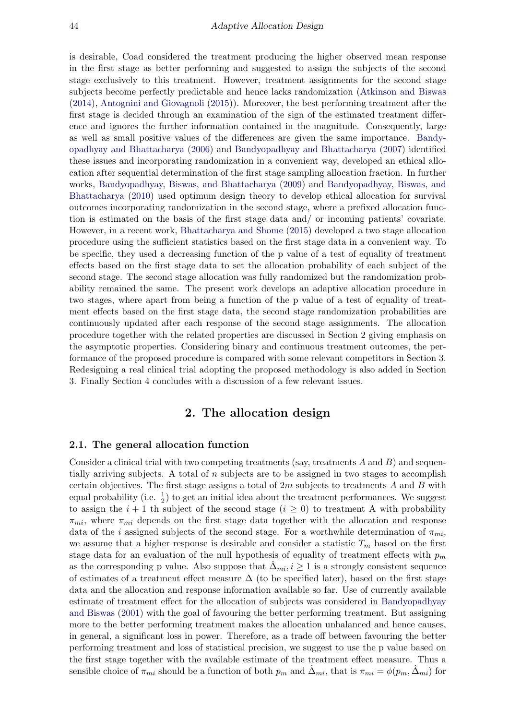is desirable, Coad considered the treatment producing the higher observed mean response in the first stage as better performing and suggested to assign the subjects of the second stage exclusively to this treatment. However, treatment assignments for the second stage subjects become perfectly predictable and hence lacks randomization [\(Atkinson and Biswas](#page-18-2) [\(2014\)](#page-18-2), [Antognini and Giovagnoli](#page-18-3) [\(2015\)](#page-18-3)). Moreover, the best performing treatment after the first stage is decided through an examination of the sign of the estimated treatment difference and ignores the further information contained in the magnitude. Consequently, large as well as small positive values of the differences are given the same importance. [Bandy](#page-18-4)[opadhyay and Bhattacharya](#page-18-4) [\(2006\)](#page-18-4) and [Bandyopadhyay and Bhattacharya](#page-18-5) [\(2007\)](#page-18-5) identified these issues and incorporating randomization in a convenient way, developed an ethical allocation after sequential determination of the first stage sampling allocation fraction. In further works, [Bandyopadhyay, Biswas, and Bhattacharya](#page-18-6) [\(2009\)](#page-18-6) and [Bandyopadhyay, Biswas, and](#page-18-7) [Bhattacharya](#page-18-7) [\(2010\)](#page-18-7) used optimum design theory to develop ethical allocation for survival outcomes incorporating randomization in the second stage, where a prefixed allocation function is estimated on the basis of the first stage data and/ or incoming patients' covariate. However, in a recent work, [Bhattacharya and Shome](#page-18-8) [\(2015\)](#page-18-8) developed a two stage allocation procedure using the sufficient statistics based on the first stage data in a convenient way. To be specific, they used a decreasing function of the p value of a test of equality of treatment effects based on the first stage data to set the allocation probability of each subject of the second stage. The second stage allocation was fully randomized but the randomization probability remained the same. The present work develops an adaptive allocation procedure in two stages, where apart from being a function of the p value of a test of equality of treatment effects based on the first stage data, the second stage randomization probabilities are continuously updated after each response of the second stage assignments. The allocation procedure together with the related properties are discussed in Section 2 giving emphasis on the asymptotic properties. Considering binary and continuous treatment outcomes, the performance of the proposed procedure is compared with some relevant competitors in Section 3. Redesigning a real clinical trial adopting the proposed methodology is also added in Section 3. Finally Section 4 concludes with a discussion of a few relevant issues.

# 2. The allocation design

#### 2.1. The general allocation function

Consider a clinical trial with two competing treatments (say, treatments  $A$  and  $B$ ) and sequentially arriving subjects. A total of  $n$  subjects are to be assigned in two stages to accomplish certain objectives. The first stage assigns a total of  $2m$  subjects to treatments  $A$  and  $B$  with equal probability (i.e.  $\frac{1}{2}$ ) to get an initial idea about the treatment performances. We suggest to assign the  $i + 1$  th subject of the second stage  $(i \geq 0)$  to treatment A with probability  $\pi_{mi}$ , where  $\pi_{mi}$  depends on the first stage data together with the allocation and response data of the i assigned subjects of the second stage. For a worthwhile determination of  $\pi_{mi}$ , we assume that a higher response is desirable and consider a statistic  $T_m$  based on the first stage data for an evaluation of the null hypothesis of equality of treatment effects with  $p_m$ as the corresponding p value. Also suppose that  $\Delta_{mi}, i \geq 1$  is a strongly consistent sequence of estimates of a treatment effect measure  $\Delta$  (to be specified later), based on the first stage data and the allocation and response information available so far. Use of currently available estimate of treatment effect for the allocation of subjects was considered in [Bandyopadhyay](#page-18-9) [and Biswas](#page-18-9) [\(2001\)](#page-18-9) with the goal of favouring the better performing treatment. But assigning more to the better performing treatment makes the allocation unbalanced and hence causes, in general, a significant loss in power. Therefore, as a trade off between favouring the better performing treatment and loss of statistical precision, we suggest to use the p value based on the first stage together with the available estimate of the treatment effect measure. Thus a sensible choice of  $\pi_{mi}$  should be a function of both  $p_m$  and  $\Delta_{mi}$ , that is  $\pi_{mi} = \phi(p_m, \Delta_{mi})$  for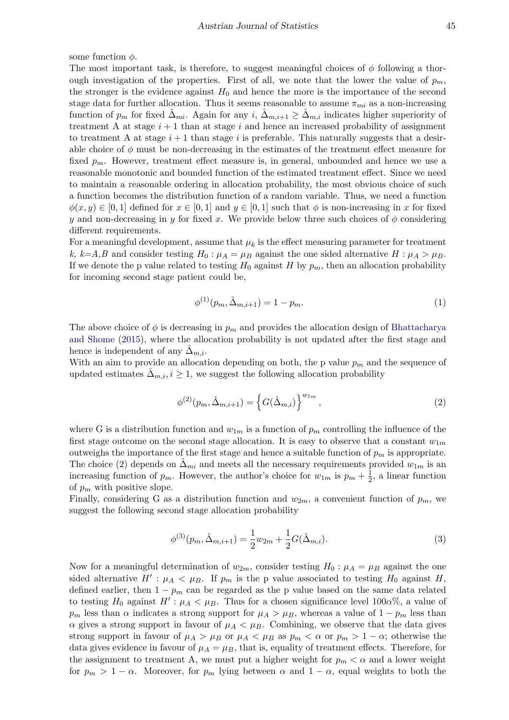some function  $\phi$ .

The most important task, is therefore, to suggest meaningful choices of  $\phi$  following a thorough investigation of the properties. First of all, we note that the lower the value of  $p_m$ , the stronger is the evidence against  $H_0$  and hence the more is the importance of the second stage data for further allocation. Thus it seems reasonable to assume  $\pi_{mi}$  as a non-increasing function of  $p_m$  for fixed  $\Delta_{mi}$ . Again for any  $i, \Delta_{m,i+1} \geq \Delta_{m,i}$  indicates higher superiority of treatment A at stage  $i+1$  than at stage i and hence an increased probability of assignment to treatment A at stage  $i + 1$  than stage i is preferable. This naturally suggests that a desirable choice of  $\phi$  must be non-decreasing in the estimates of the treatment effect measure for fixed  $p_m$ . However, treatment effect measure is, in general, unbounded and hence we use a reasonable monotonic and bounded function of the estimated treatment effect. Since we need to maintain a reasonable ordering in allocation probability, the most obvious choice of such a function becomes the distribution function of a random variable. Thus, we need a function  $\phi(x, y) \in [0, 1]$  defined for  $x \in [0, 1]$  and  $y \in [0, 1]$  such that  $\phi$  is non-increasing in x for fixed y and non-decreasing in y for fixed x. We provide below three such choices of  $\phi$  considering different requirements.

For a meaningful development, assume that  $\mu_k$  is the effect measuring parameter for treatment k, k=A,B and consider testing  $H_0: \mu_A = \mu_B$  against the one sided alternative  $H: \mu_A > \mu_B$ . If we denote the p value related to testing  $H_0$  against H by  $p_m$ , then an allocation probability for incoming second stage patient could be,

$$
\phi^{(1)}(p_m, \hat{\Delta}_{m,i+1}) = 1 - p_m. \tag{1}
$$

The above choice of  $\phi$  is decreasing in  $p_m$  and provides the allocation design of [Bhattacharya](#page-18-8) [and Shome](#page-18-8) [\(2015\)](#page-18-8), where the allocation probability is not updated after the first stage and hence is independent of any  $\Delta_{m,i}$ .

With an aim to provide an allocation depending on both, the p value  $p_m$  and the sequence of updated estimates  $\Delta_{m,i}, i \geq 1$ , we suggest the following allocation probability

$$
\phi^{(2)}(p_m, \hat{\Delta}_{m,i+1}) = \left\{ G(\hat{\Delta}_{m,i}) \right\}^{w_{1m}},
$$
\n(2)

where G is a distribution function and  $w_{1m}$  is a function of  $p_m$  controlling the influence of the first stage outcome on the second stage allocation. It is easy to observe that a constant  $w_{1m}$ outweighs the importance of the first stage and hence a suitable function of  $p_m$  is appropriate. The choice (2) depends on  $\Delta_{mi}$  and meets all the necessary requirements provided  $w_{1m}$  is an increasing function of  $p_m$ . However, the author's choice for  $w_{1m}$  is  $p_m + \frac{1}{2}$  $\frac{1}{2}$ , a linear function of  $p_m$  with positive slope.

Finally, considering G as a distribution function and  $w_{2m}$ , a convenient function of  $p_m$ , we suggest the following second stage allocation probability

$$
\phi^{(3)}(p_m, \hat{\Delta}_{m,i+1}) = \frac{1}{2} w_{2m} + \frac{1}{2} G(\hat{\Delta}_{m,i}).
$$
\n(3)

Now for a meaningful determination of  $w_{2m}$ , consider testing  $H_0: \mu_A = \mu_B$  against the one sided alternative  $H'$ :  $\mu_A < \mu_B$ . If  $p_m$  is the p value associated to testing  $H_0$  against H, defined earlier, then  $1 - p_m$  can be regarded as the p value based on the same data related to testing  $H_0$  against  $H': \mu_A < \mu_B$ . Thus for a chosen significance level 100 $\alpha$ %, a value of  $p_m$  less than  $\alpha$  indicates a strong support for  $\mu_A > \mu_B$ , whereas a value of  $1 - p_m$  less than  $\alpha$  gives a strong support in favour of  $\mu_A < \mu_B$ . Combining, we observe that the data gives strong support in favour of  $\mu_A > \mu_B$  or  $\mu_A < \mu_B$  as  $p_m < \alpha$  or  $p_m > 1 - \alpha$ ; otherwise the data gives evidence in favour of  $\mu_A = \mu_B$ , that is, equality of treatment effects. Therefore, for the assignment to treatment A, we must put a higher weight for  $p_m < \alpha$  and a lower weight for  $p_m > 1 - \alpha$ . Moreover, for  $p_m$  lying between  $\alpha$  and  $1 - \alpha$ , equal weights to both the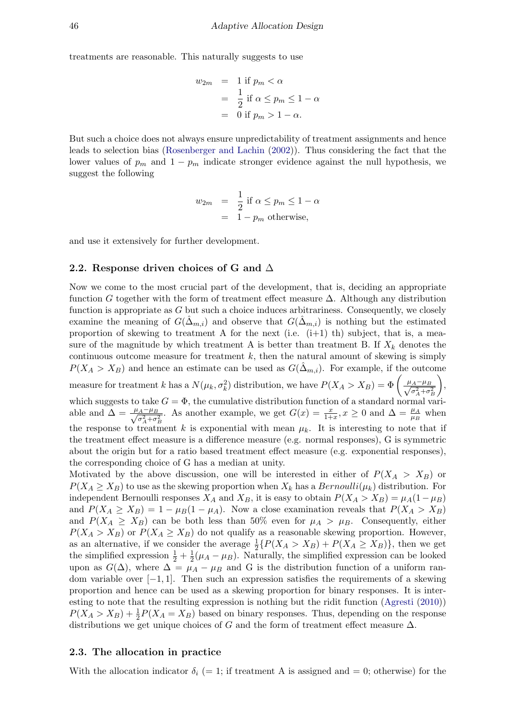treatments are reasonable. This naturally suggests to use

$$
w_{2m} = 1 \text{ if } p_m < \alpha
$$
  
=  $\frac{1}{2}$  if  $\alpha \le p_m \le 1 - \alpha$   
= 0 if  $p_m > 1 - \alpha$ .

But such a choice does not always ensure unpredictability of treatment assignments and hence leads to selection bias [\(Rosenberger and Lachin](#page-18-10) [\(2002\)](#page-18-10)). Thus considering the fact that the lower values of  $p_m$  and  $1 - p_m$  indicate stronger evidence against the null hypothesis, we suggest the following

$$
w_{2m} = \frac{1}{2} \text{ if } \alpha \le p_m \le 1 - \alpha
$$
  
= 1 - p\_m otherwise,

and use it extensively for further development.

#### 2.2. Response driven choices of G and  $\Delta$

Now we come to the most crucial part of the development, that is, deciding an appropriate function G together with the form of treatment effect measure  $\Delta$ . Although any distribution function is appropriate as  $G$  but such a choice induces arbitrariness. Consequently, we closely examine the meaning of  $G(\tilde{\Delta}_{m,i})$  and observe that  $G(\tilde{\Delta}_{m,i})$  is nothing but the estimated proportion of skewing to treatment A for the next (i.e.  $(i+1)$  th) subject, that is, a measure of the magnitude by which treatment A is better than treatment B. If  $X_k$  denotes the continuous outcome measure for treatment  $k$ , then the natural amount of skewing is simply  $P(X_A > X_B)$  and hence an estimate can be used as  $G(\Delta_{m,i})$ . For example, if the outcome measure for treatment k has a  $N(\mu_k, \sigma_k^2)$  distribution, we have  $P(X_A > X_B) = \Phi\left(\frac{\mu_A - \mu_B}{\sqrt{\sigma^2 + \sigma^2}}\right)$  $\sigma_A^2 + \sigma_B^2$  $\bigg)$ , which suggests to take  $G = \Phi$ , the cumulative distribution function of a standard normal variable and  $\Delta = \frac{\mu_A - \mu_B}{\sqrt{2}}$  $\frac{A^{-\mu}B}{\sigma_A^2 + \sigma_B^2}$ . As another example, we get  $G(x) = \frac{x}{1+x}$ ,  $x \ge 0$  and  $\Delta = \frac{\mu_A}{\mu_B}$  when the response to treatment k is exponential with mean  $\mu_k$ . It is interesting to note that if the treatment effect measure is a difference measure (e.g. normal responses), G is symmetric about the origin but for a ratio based treatment effect measure (e.g. exponential responses), the corresponding choice of G has a median at unity.

Motivated by the above discussion, one will be interested in either of  $P(X_A > X_B)$  or  $P(X_A \geq X_B)$  to use as the skewing proportion when  $X_k$  has a  $Bernoulli(\mu_k)$  distribution. For independent Bernoulli responses  $X_A$  and  $X_B$ , it is easy to obtain  $P(X_A > X_B) = \mu_A(1-\mu_B)$ and  $P(X_A \ge X_B) = 1 - \mu_B(1 - \mu_A)$ . Now a close examination reveals that  $P(X_A > X_B)$ and  $P(X_A \geq X_B)$  can be both less than 50% even for  $\mu_A > \mu_B$ . Consequently, either  $P(X_A > X_B)$  or  $P(X_A \geq X_B)$  do not qualify as a reasonable skewing proportion. However, as an alternative, if we consider the average  $\frac{1}{2} \{ P(X_A > X_B) + P(X_A \ge X_B) \}$ , then we get the simplified expression  $\frac{1}{2} + \frac{1}{2}$  $\frac{1}{2}(\mu_A - \mu_B)$ . Naturally, the simplified expression can be looked upon as  $G(\Delta)$ , where  $\Delta = \mu_A - \mu_B$  and G is the distribution function of a uniform random variable over  $[-1, 1]$ . Then such an expression satisfies the requirements of a skewing proportion and hence can be used as a skewing proportion for binary responses. It is interesting to note that the resulting expression is nothing but the ridit function [\(Agresti](#page-17-0) [\(2010\)](#page-17-0))  $P(X_A > X_B) + \frac{1}{2}P(X_A = X_B)$  based on binary responses. Thus, depending on the response distributions we get unique choices of G and the form of treatment effect measure  $\Delta$ .

#### 2.3. The allocation in practice

With the allocation indicator  $\delta_i$  (= 1; if treatment A is assigned and = 0; otherwise) for the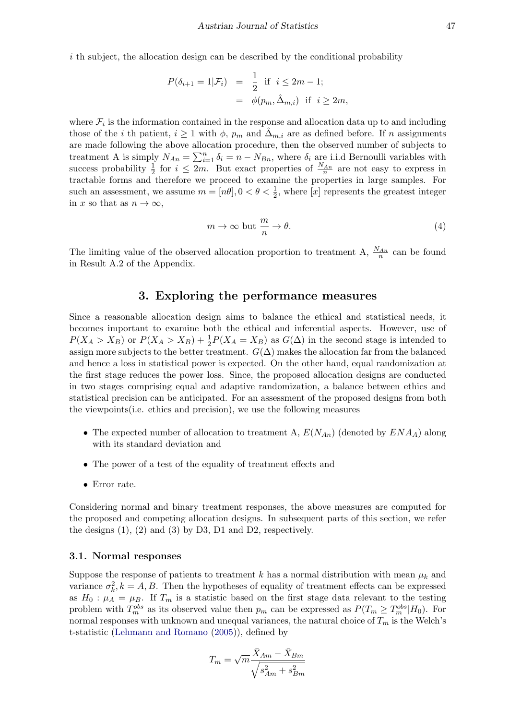i th subject, the allocation design can be described by the conditional probability

$$
P(\delta_{i+1} = 1 | \mathcal{F}_i) = \frac{1}{2} \text{ if } i \le 2m - 1;
$$
  
=  $\phi(p_m, \hat{\Delta}_{m,i}) \text{ if } i \ge 2m,$ 

where  $\mathcal{F}_i$  is the information contained in the response and allocation data up to and including those of the *i* th patient,  $i \geq 1$  with  $\phi$ ,  $p_m$  and  $\hat{\Delta}_{m,i}$  are as defined before. If n assignments are made following the above allocation procedure, then the observed number of subjects to treatment A is simply  $N_{An} = \sum_{i=1}^{n} \delta_i = n - N_{Bn}$ , where  $\delta_i$  are i.i.d Bernoulli variables with success probability  $\frac{1}{2}$  for  $i \leq 2m$ . But exact properties of  $\frac{N_{An}}{n}$  are not easy to express in tractable forms and therefore we proceed to examine the properties in large samples. For such an assessment, we assume  $m = [n\theta], 0 < \theta < \frac{1}{2}$ , where [x] represents the greatest integer in x so that as  $n \to \infty$ ,

$$
m \to \infty \text{ but } \frac{m}{n} \to \theta. \tag{4}
$$

The limiting value of the observed allocation proportion to treatment A,  $\frac{N_{An}}{n}$  can be found in Result A.2 of the Appendix.

## 3. Exploring the performance measures

Since a reasonable allocation design aims to balance the ethical and statistical needs, it becomes important to examine both the ethical and inferential aspects. However, use of  $P(X_A > X_B)$  or  $P(X_A > X_B) + \frac{1}{2}P(X_A = X_B)$  as  $G(\Delta)$  in the second stage is intended to assign more subjects to the better treatment.  $G(\Delta)$  makes the allocation far from the balanced and hence a loss in statistical power is expected. On the other hand, equal randomization at the first stage reduces the power loss. Since, the proposed allocation designs are conducted in two stages comprising equal and adaptive randomization, a balance between ethics and statistical precision can be anticipated. For an assessment of the proposed designs from both the viewpoints(i.e. ethics and precision), we use the following measures

- The expected number of allocation to treatment A,  $E(N_{An})$  (denoted by  $ENA_A$ ) along with its standard deviation and
- The power of a test of the equality of treatment effects and
- Error rate.

Considering normal and binary treatment responses, the above measures are computed for the proposed and competing allocation designs. In subsequent parts of this section, we refer the designs  $(1)$ ,  $(2)$  and  $(3)$  by D3, D1 and D2, respectively.

#### 3.1. Normal responses

Suppose the response of patients to treatment k has a normal distribution with mean  $\mu_k$  and variance  $\sigma_k^2$ ,  $k = A, B$ . Then the hypotheses of equality of treatment effects can be expressed as  $H_0: \mu_A = \mu_B$ . If  $T_m$  is a statistic based on the first stage data relevant to the testing problem with  $T_m^{obs}$  as its observed value then  $p_m$  can be expressed as  $P(T_m \geq T_m^{obs}|H_0)$ . For normal responses with unknown and unequal variances, the natural choice of  $T_m$  is the Welch's t-statistic [\(Lehmann and Romano](#page-18-11) [\(2005\)](#page-18-11)), defined by

$$
T_m = \sqrt{m} \frac{\bar{X}_{Am} - \bar{X}_{Bm}}{\sqrt{s_{Am}^2 + s_{Bm}^2}}
$$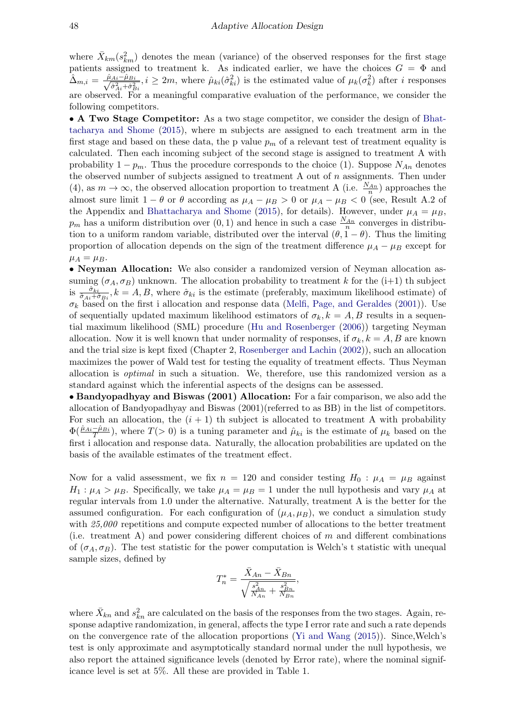where  $\bar{X}_{km}(s_{km}^2)$  denotes the mean (variance) of the observed responses for the first stage patients assigned to treatment k. As indicated earlier, we have the choices  $G = \Phi$  and  $\hat{\Delta}_{m,i} = \frac{\hat{\mu}_{Ai}-\hat{\mu}_{Bi}}{\sqrt{\hat{\Sigma}^2+\hat{\Sigma}^2}}$  $\frac{A_i-\hat{\mu}_{Bi}}{\hat{\sigma}_{Ai}^2+\hat{\sigma}_{Bi}^2}$ ,  $i \ge 2m$ , where  $\hat{\mu}_{ki}(\hat{\sigma}_{ki}^2)$  is the estimated value of  $\mu_k(\sigma_k^2)$  after *i* responses are observed. For a meaningful comparative evaluation of the performance, we consider the following competitors.

• A Two Stage Competitor: As a two stage competitor, we consider the design of [Bhat](#page-18-8)[tacharya and Shome](#page-18-8) [\(2015\)](#page-18-8), where m subjects are assigned to each treatment arm in the first stage and based on these data, the p value  $p_m$  of a relevant test of treatment equality is calculated. Then each incoming subject of the second stage is assigned to treatment A with probability  $1 - p_m$ . Thus the procedure corresponds to the choice (1). Suppose  $N_{An}$  denotes the observed number of subjects assigned to treatment A out of  $n$  assignments. Then under (4), as  $m \to \infty$ , the observed allocation proportion to treatment A (i.e.  $\frac{N_{An}}{n}$ ) approaches the almost sure limit  $1 - \theta$  or  $\theta$  according as  $\mu_A - \mu_B > 0$  or  $\mu_A - \mu_B < 0$  (see, Result A.2 of the Appendix and [Bhattacharya and Shome](#page-18-8) [\(2015\)](#page-18-8), for details). However, under  $\mu_A = \mu_B$ ,  $p_m$  has a uniform distribution over  $(0, 1)$  and hence in such a case  $\frac{N_{An}}{n}$  converges in distribution to a uniform random variable, distributed over the interval  $(\theta, 1 - \theta)$ . Thus the limiting proportion of allocation depends on the sign of the treatment difference  $\mu_A - \mu_B$  except for  $\mu_A = \mu_B.$ 

• Neyman Allocation: We also consider a randomized version of Neyman allocation assuming  $(\sigma_A, \sigma_B)$  unknown. The allocation probability to treatment k for the  $(i+1)$  th subject is  $\frac{\hat{\sigma}_{ki}}{\hat{\sigma}_{Ai}+\hat{\sigma}_{Bi}}$ ,  $k=A, B$ , where  $\hat{\sigma}_{ki}$  is the estimate (preferably, maximum likelihood estimate) of  $\sigma_k$  based on the first i allocation and response data [\(Melfi, Page, and Geraldes](#page-18-12) [\(2001\)](#page-18-12)). Use of sequentially updated maximum likelihood estimators of  $\sigma_k, k = A, B$  results in a sequential maximum likelihood (SML) procedure [\(Hu and Rosenberger](#page-18-13) [\(2006\)](#page-18-13)) targeting Neyman allocation. Now it is well known that under normality of responses, if  $\sigma_k$ ,  $k = A, B$  are known and the trial size is kept fixed (Chapter 2, [Rosenberger and Lachin](#page-18-10) [\(2002\)](#page-18-10)), such an allocation maximizes the power of Wald test for testing the equality of treatment effects. Thus Neyman allocation is optimal in such a situation. We, therefore, use this randomized version as a standard against which the inferential aspects of the designs can be assessed.

• Bandyopadhyay and Biswas (2001) Allocation: For a fair comparison, we also add the allocation of Bandyopadhyay and Biswas (2001)(referred to as BB) in the list of competitors. For such an allocation, the  $(i + 1)$  th subject is allocated to treatment A with probability  $\Phi(\frac{\hat{\mu}_{Ai}-\hat{\mu}_{Bi}}{T})$ , where  $T(>0)$  is a tuning parameter and  $\hat{\mu}_{ki}$  is the estimate of  $\mu_k$  based on the first i allocation and response data. Naturally, the allocation probabilities are updated on the basis of the available estimates of the treatment effect.

Now for a valid assessment, we fix  $n = 120$  and consider testing  $H_0$ :  $\mu_A = \mu_B$  against  $H_1: \mu_A > \mu_B$ . Specifically, we take  $\mu_A = \mu_B = 1$  under the null hypothesis and vary  $\mu_A$  at regular intervals from 1.0 under the alternative. Naturally, treatment A is the better for the assumed configuration. For each configuration of  $(\mu_A, \mu_B)$ , we conduct a simulation study with 25,000 repetitions and compute expected number of allocations to the better treatment (i.e. treatment A) and power considering different choices of  $m$  and different combinations of  $(\sigma_A, \sigma_B)$ . The test statistic for the power computation is Welch's t statistic with unequal sample sizes, defined by

$$
T_n^* = \frac{\bar{X}_{An} - \bar{X}_{Bn}}{\sqrt{\frac{s_{An}^2}{N_{An}} + \frac{s_{Bn}^2}{N_{Bn}}}},
$$

where  $\bar{X}_{kn}$  and  $s_{kn}^2$  are calculated on the basis of the responses from the two stages. Again, response adaptive randomization, in general, affects the type I error rate and such a rate depends on the convergence rate of the allocation proportions [\(Yi and Wang](#page-18-14) [\(2015\)](#page-18-14)). Since,Welch's test is only approximate and asymptotically standard normal under the null hypothesis, we also report the attained significance levels (denoted by Error rate), where the nominal significance level is set at 5%. All these are provided in Table 1.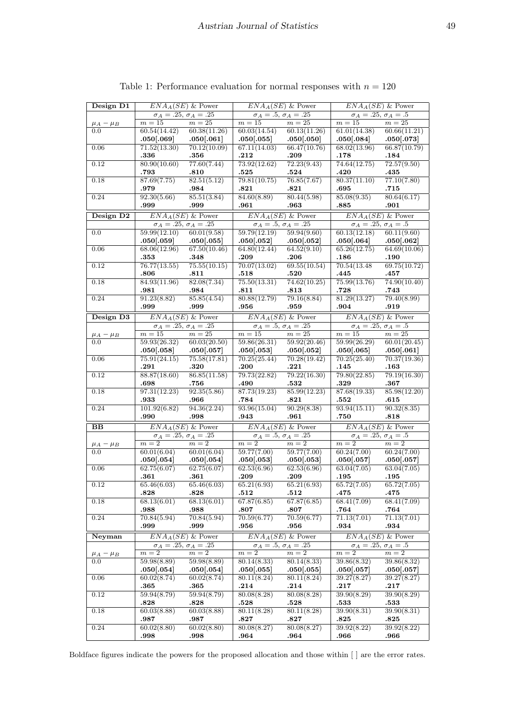| Design D1                   | $ENAA(SE)$ & Power                       |                                          |                                                           | $ENAA(SE)$ & Power                      | $ENAA(SE)$ & Power                                   |                                          |  |
|-----------------------------|------------------------------------------|------------------------------------------|-----------------------------------------------------------|-----------------------------------------|------------------------------------------------------|------------------------------------------|--|
|                             | $\sigma_A = .25, \, \sigma_A = .25$      |                                          | $\sigma_A = .5, \sigma_A = .25$                           |                                         | $\sigma_A = .25, \sigma_A = .5$                      |                                          |  |
| $\frac{\mu_A - \mu_B}{0.0}$ | $m=15$                                   | $m=25$                                   | $m=15$                                                    | $m=25$                                  | $m=15$                                               | $m=25$                                   |  |
|                             | 60.54(14.42)                             | 60.38(11.26)                             | 60.03(14.54)                                              | 60.13(11.26)                            | 61.01(14.38)                                         | 60.66(11.21)                             |  |
|                             | .050[.069]                               | .050[.061]                               | .050[.055]                                                | .050[.050]                              | .050[.084]                                           | .050[.073]                               |  |
| 0.06                        | 71.52(13.30)                             | 70.12(10.09)                             | 67.11(14.03)                                              | 66.47(10.76)                            | 68.02(13.96)                                         | 66.87(10.79)                             |  |
|                             | .336                                     | $.356\,$                                 | .212                                                      | .209                                    | .178                                                 | .184                                     |  |
| 0.12                        | 80.90(10.60)                             | 77.60(7.44)                              | 73.92(12.62)                                              | 72.23(9.43)                             | 74.64(12.75)                                         | 72.57(9.50)                              |  |
|                             | .793                                     | .810                                     | .525                                                      | .524                                    | .420                                                 | .435                                     |  |
| 0.18                        | 87.69(7.75)                              | 82.51(5.12)                              | 79.81(10.75)                                              | 76.85(7.67)                             | 80.37(11.10)                                         | 77.10(7.80)                              |  |
|                             | .979                                     | .984                                     | .821                                                      | .821                                    | .695                                                 | .715                                     |  |
| $0.24\,$                    | 92.30(5.66)                              | 85.51(3.84)                              | 84.60(8.89)                                               | 80.44(5.98)                             | 85.08(9.35)                                          | 80.64(6.17)                              |  |
|                             | .999                                     | .999                                     | .961                                                      | .963                                    | .885                                                 | $.901\,$                                 |  |
| Design D2                   | $ENAA(SE)$ & Power                       |                                          |                                                           | $ENAA(SE)$ & Power                      | $ENAA(SE)$ & Power                                   |                                          |  |
|                             | $\sigma_A = .25, \sigma_A = .25$         |                                          | $\sigma_A = .5, \sigma_A = .25$                           |                                         | $\sigma_A = .25, \sigma_A = .5$                      |                                          |  |
| 0.0                         | 59.99(12.10)<br>.050[.059]               | 60.01(9.58)<br>.050[.055]                | $59.79(12.19)$ $59.94(9.60)$<br>$.050[.052]$ $.050[.052]$ |                                         | 60.13(12.18)<br>.050[.064]                           | 60.11(9.60)<br>.050[.062]                |  |
| 0.06                        | 68.06(12.96)                             | 67.50(10.46)                             | 64.80(12.44)                                              | 64.52(9.10)                             | 65.26(12.75)                                         | 64.69(10.06)                             |  |
|                             | .353                                     | .348                                     | .209                                                      | .206                                    | .186                                                 | .190                                     |  |
| 0.12                        | 76.77(13.55)                             | 75.55(10.15)                             | 70.07(13.02)                                              | 69.55(10.54)                            | 70.54(13.48)                                         | 69.75(10.72)                             |  |
|                             | .806                                     | .811                                     | .518                                                      | .520                                    | .445                                                 | .457                                     |  |
| 0.18                        | 84.93(11.96)                             | 82.08(7.34)                              | 75.50(13.31)                                              | 74.62(10.25)                            | 75.99(13.76)                                         | 74.90(10.40)                             |  |
|                             | .981                                     | .984                                     | .811                                                      | .813                                    | .728                                                 | .743                                     |  |
| 0.24                        | 91.23(8.82)                              | 85.85(4.54)                              | 80.88(12.79)                                              | 79.16(8.84)                             | 81.29(13.27)                                         | 79.40(8.99)                              |  |
|                             | .999                                     | .999                                     | .956                                                      | .959                                    | .904                                                 | .919                                     |  |
| Design D3                   | $ENAA(SE)$ & Power                       |                                          |                                                           | $ENAA(SE)$ & Power                      | $ENAA(SE)$ & Power                                   |                                          |  |
|                             | $\sigma_A = .25, \, \sigma_A = .25$      |                                          |                                                           | $\sigma_A = .5, \sigma_A = .25$         | $\sigma_A = .25, \, \sigma_A = .5$                   |                                          |  |
| $\mu_A - \mu_B$             | $m=15$                                   | $m=25$                                   | $m=15$                                                    | $m=25$                                  | $\overline{m=15}$                                    | $m=25\,$                                 |  |
| 0.0                         | 59.93(26.32)                             | 60.03(20.50)                             | 59.86(26.31)                                              | 59.92(20.46)                            | 59.99(26.29)                                         | 60.01(20.45)                             |  |
|                             | .050[.058]                               | .050[.057]                               | .050[.053]                                                | .050[.052]                              | .050[.065]                                           | .050[.061]                               |  |
| 0.06                        | 75.91(24.15)                             | 75.58(17.81)                             | 70.25(25.44)                                              | 70.28(19.42)                            | 70.25(25.40)                                         | 70.37(19.36)                             |  |
|                             | .291                                     | .320                                     | $.200\,$                                                  | .221                                    | .145                                                 | .163                                     |  |
| 0.12                        | 88.87(18.60)                             | 86.85(11.58)                             | 79.73(22.82)                                              | 79.22(16.30)                            | 79.80(22.85)                                         | 79.19(16.30)                             |  |
|                             | .698                                     | .756                                     | .490                                                      | .532                                    | .329                                                 | .367                                     |  |
| 0.18                        | 97.31(12.23)                             | 92.35(5.86)                              | 87.73(19.23)                                              | 85.99(12.23)                            | 87.68(19.33)                                         | 85.98(12.20)                             |  |
|                             | .933                                     | .966                                     | $.784\,$                                                  | .821                                    | .552                                                 | .615                                     |  |
| 0.24                        | 101.92(6.82)                             | 94.36(2.24)                              | 93.96(15.04)                                              | 90.29(8.38)                             | 93.94(15.11)                                         | 90.32(8.35)                              |  |
|                             | .990                                     | .998                                     | .943                                                      | .961                                    | .750                                                 | .818                                     |  |
| B <sub>B</sub>              | $ENAA(SE)$ & Power                       |                                          | $ENAA(SE)$ & Power                                        |                                         | $ENAA(SE)$ & Power                                   |                                          |  |
|                             | $\sigma_A=.25,\,\sigma_A=.25$            |                                          |                                                           | $\sigma_A = .5, \, \sigma_A = .25$      | $\sigma_A = .25, \, \sigma_A = .5$                   |                                          |  |
| $\mu_A - \mu_B$             | $m=2$                                    | $m=2$                                    | $m=2$                                                     | $m=2$                                   | $m=2$                                                | $m=2\,$                                  |  |
| $0.0\,$                     | 60.01(6.04)<br>$.050[.054]$ $.050[.054]$ | 60.01(6.04)                              | 59.77(7.00)<br>.050[.053]                                 | 59.77(7.00)<br>.050[.053]               | 60.24(7.00)<br>$.050 \text{\textcolor{red}{[}.057]}$ | 60.24(7.00)<br>.050[.057]                |  |
| 0.06                        | 62.75(6.07)                              | 62.75(6.07)                              | 62.53(6.96)                                               | 62.53(6.96)                             | 63.04(7.05)                                          | 63.04(7.05)                              |  |
|                             | .361                                     | .361                                     | .209                                                      | .209                                    | .195                                                 | .195                                     |  |
| 0.12                        | 65.46(6.03)                              | 65.46(6.03)                              | 65.21(6.93)                                               | 65.21(6.93)                             | 65.72(7.05)                                          | 65.72(7.05)                              |  |
|                             | .828                                     | .828                                     | .512                                                      | .512                                    | .475                                                 | .475                                     |  |
| 0.18                        | 68.13(6.01)                              | 68.13(6.01)                              | 67.87(6.85)                                               | 67.87(6.85)                             | 68.41(7.09)                                          | 68.41(7.09)                              |  |
|                             | .988                                     | .988                                     | .807                                                      | .807                                    | .764                                                 | .764                                     |  |
| 0.24                        | 70.84(5.94)                              | 70.84(5.94)                              | 70.59(6.77)                                               | 70.59(6.77)                             | 71.13(7.01)                                          | 71.13(7.01)                              |  |
|                             | .999                                     | .999                                     | .956                                                      | .956                                    | .934                                                 | .934                                     |  |
| Neyman                      |                                          | $ENAA(SE)$ & Power                       |                                                           | $ENAA(SE)$ & Power                      |                                                      | $ENAA(SE)$ & Power                       |  |
|                             | $m=2$                                    | $\sigma_A=.25, \, \sigma_A=.25$<br>$m=2$ | $m=2$                                                     | $\sigma_A=.5, \, \sigma_A=.25$<br>$m=2$ | $m=2$                                                | $\sigma_A = .25, \sigma_A = .5$<br>$m=2$ |  |
| $\mu_A - \mu_B$<br>0.0      | 59.98(8.89)                              | 59.98(8.89)                              | 80.14(8.33)                                               | 80.14(8.33)<br>.050(.055)               | 39.86(8.32)                                          | 39.86(8.32)                              |  |
| 0.06                        | .050 .054]<br>60.02(8.74)                | .050[.054]<br>60.02(8.74)                | .050 .055]<br>80.11(8.24)                                 | 80.11(8.24)                             | .050(.057)<br>39.27(8.27)                            | .050(.057)<br>39.27(8.27)                |  |
| 0.12                        | .365                                     | .365                                     | .214                                                      | .214                                    | .217                                                 | .217                                     |  |
|                             | 59.94(8.79)                              | 59.94(8.79)                              | 80.08(8.28)                                               | 80.08(8.28)                             | 39.90(8.29)                                          | 39.90(8.29)                              |  |
| 0.18                        | .828                                     | .828                                     | .528                                                      | .528                                    | .533                                                 | .533                                     |  |
|                             | 60.03(8.88)                              | 60.03(8.88)                              | 80.11(8.28)                                               | 80.11(8.28)                             | 39.90(8.31)                                          | 39.90(8.31)                              |  |
|                             | .987                                     | .987                                     | .827                                                      | .827                                    | .825                                                 | .825                                     |  |
| 0.24                        | 60.02(8.80)                              | 60.02(8.80)                              | 80.08(8.27)                                               | 80.08(8.27)                             | 39.92(8.22)                                          | 39.92(8.22)                              |  |
|                             | .998                                     | .998                                     | .964                                                      | .964                                    | .966                                                 | .966                                     |  |

Table 1: Performance evaluation for normal responses with  $n = 120$ 

Boldface figures indicate the powers for the proposed allocation and those within [ ] are the error rates.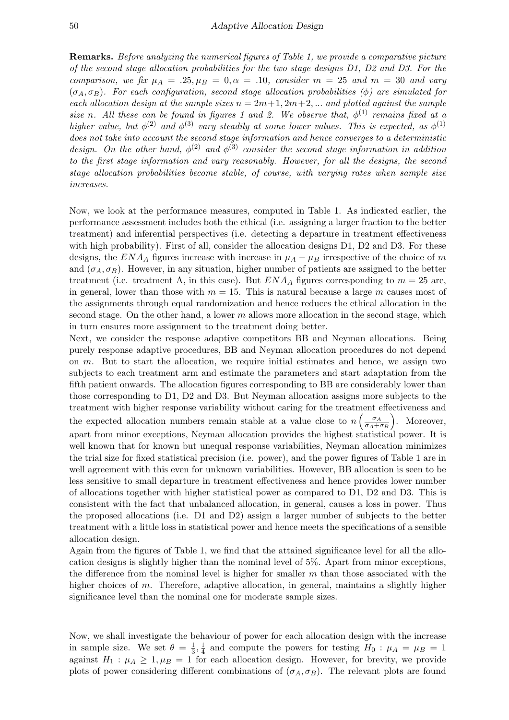Remarks. Before analyzing the numerical figures of Table 1, we provide a comparative picture of the second stage allocation probabilities for the two stage designs D1, D2 and D3. For the comparison, we fix  $\mu_A = .25, \mu_B = 0, \alpha = .10$ , consider  $m = 25$  and  $m = 30$  and vary  $(\sigma_A, \sigma_B)$ . For each configuration, second stage allocation probabilities ( $\phi$ ) are simulated for each allocation design at the sample sizes  $n = 2m+1, 2m+2, ...$  and plotted against the sample size n. All these can be found in figures 1 and 2. We observe that,  $\phi^{(1)}$  remains fixed at a higher value, but  $\phi^{(2)}$  and  $\phi^{(3)}$  vary steadily at some lower values. This is expected, as  $\phi^{(1)}$ does not take into account the second stage information and hence converges to a deterministic design. On the other hand,  $\phi^{(2)}$  and  $\phi^{(3)}$  consider the second stage information in addition to the first stage information and vary reasonably. However, for all the designs, the second stage allocation probabilities become stable, of course, with varying rates when sample size increases.

Now, we look at the performance measures, computed in Table 1. As indicated earlier, the performance assessment includes both the ethical (i.e. assigning a larger fraction to the better treatment) and inferential perspectives (i.e. detecting a departure in treatment effectiveness with high probability). First of all, consider the allocation designs D1, D2 and D3. For these designs, the  $ENA<sub>A</sub>$  figures increase with increase in  $\mu_A - \mu_B$  irrespective of the choice of m and  $(\sigma_A, \sigma_B)$ . However, in any situation, higher number of patients are assigned to the better treatment (i.e. treatment A, in this case). But  $ENA_A$  figures corresponding to  $m = 25$  are, in general, lower than those with  $m = 15$ . This is natural because a large m causes most of the assignments through equal randomization and hence reduces the ethical allocation in the second stage. On the other hand, a lower  $m$  allows more allocation in the second stage, which in turn ensures more assignment to the treatment doing better.

Next, we consider the response adaptive competitors BB and Neyman allocations. Being purely response adaptive procedures, BB and Neyman allocation procedures do not depend on  $m$ . But to start the allocation, we require initial estimates and hence, we assign two subjects to each treatment arm and estimate the parameters and start adaptation from the fifth patient onwards. The allocation figures corresponding to BB are considerably lower than those corresponding to D1, D2 and D3. But Neyman allocation assigns more subjects to the treatment with higher response variability without caring for the treatment effectiveness and the expected allocation numbers remain stable at a value close to  $n\left(\frac{\sigma_A}{\sigma_A+\sigma_B}\right)$  $\overline{\sigma_A + \sigma_B}$  . Moreover, apart from minor exceptions, Neyman allocation provides the highest statistical power. It is well known that for known but unequal response variabilities, Neyman allocation minimizes the trial size for fixed statistical precision (i.e. power), and the power figures of Table 1 are in well agreement with this even for unknown variabilities. However, BB allocation is seen to be less sensitive to small departure in treatment effectiveness and hence provides lower number of allocations together with higher statistical power as compared to D1, D2 and D3. This is consistent with the fact that unbalanced allocation, in general, causes a loss in power. Thus the proposed allocations (i.e. D1 and D2) assign a larger number of subjects to the better treatment with a little loss in statistical power and hence meets the specifications of a sensible allocation design.

Again from the figures of Table 1, we find that the attained significance level for all the allocation designs is slightly higher than the nominal level of 5%. Apart from minor exceptions, the difference from the nominal level is higher for smaller  $m$  than those associated with the higher choices of m. Therefore, adaptive allocation, in general, maintains a slightly higher significance level than the nominal one for moderate sample sizes.

Now, we shall investigate the behaviour of power for each allocation design with the increase in sample size. We set  $\theta = \frac{1}{3}$  $\frac{1}{3}, \frac{1}{4}$  $\frac{1}{4}$  and compute the powers for testing  $H_0$ :  $\mu_A = \mu_B = 1$ against  $H_1: \mu_A \geq 1, \mu_B = 1$  for each allocation design. However, for brevity, we provide plots of power considering different combinations of  $(\sigma_A, \sigma_B)$ . The relevant plots are found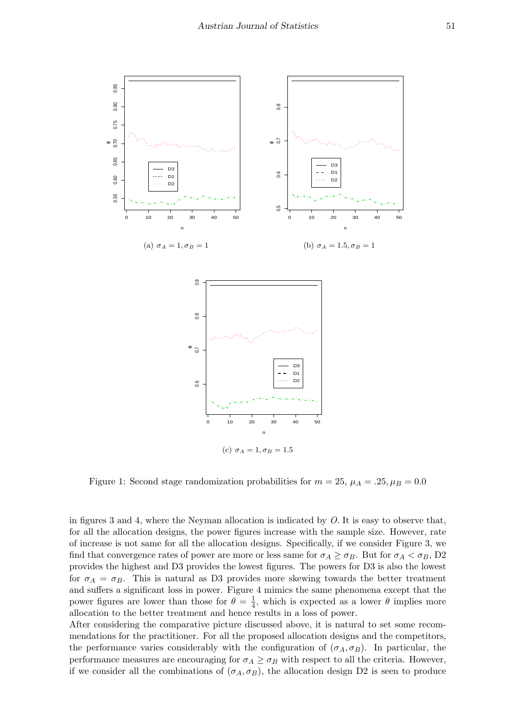

Figure 1: Second stage randomization probabilities for  $m = 25$ ,  $\mu_A = .25$ ,  $\mu_B = 0.0$ 

in figures 3 and 4, where the Neyman allocation is indicated by  $O$ . It is easy to observe that, for all the allocation designs, the power figures increase with the sample size. However, rate of increase is not same for all the allocation designs. Specifically, if we consider Figure 3, we find that convergence rates of power are more or less same for  $\sigma_A \geq \sigma_B$ . But for  $\sigma_A < \sigma_B$ , D2 provides the highest and D3 provides the lowest figures. The powers for D3 is also the lowest for  $\sigma_A = \sigma_B$ . This is natural as D3 provides more skewing towards the better treatment and suffers a significant loss in power. Figure 4 mimics the same phenomena except that the power figures are lower than those for  $\theta = \frac{1}{4}$  $\frac{1}{4}$ , which is expected as a lower  $\theta$  implies more allocation to the better treatment and hence results in a loss of power.

After considering the comparative picture discussed above, it is natural to set some recommendations for the practitioner. For all the proposed allocation designs and the competitors, the performance varies considerably with the configuration of  $(\sigma_A, \sigma_B)$ . In particular, the performance measures are encouraging for  $\sigma_A \geq \sigma_B$  with respect to all the criteria. However, if we consider all the combinations of  $(\sigma_A, \sigma_B)$ , the allocation design D2 is seen to produce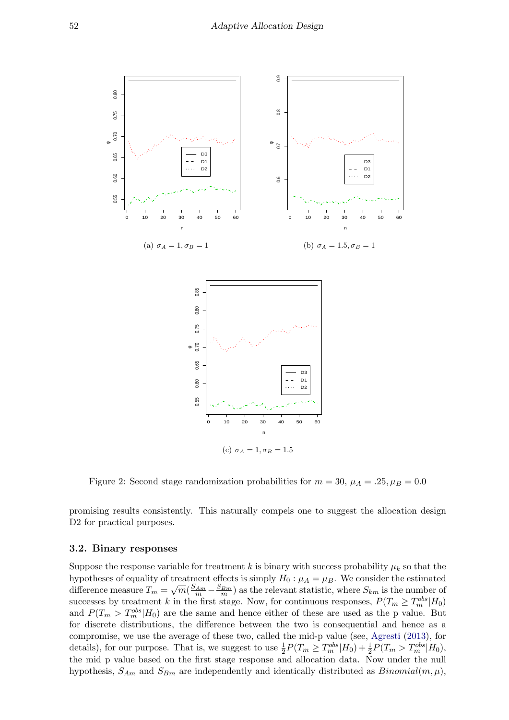

Figure 2: Second stage randomization probabilities for  $m = 30$ ,  $\mu_A = .25$ ,  $\mu_B = 0.0$ 

promising results consistently. This naturally compels one to suggest the allocation design D2 for practical purposes.

#### 3.2. Binary responses

Suppose the response variable for treatment k is binary with success probability  $\mu_k$  so that the hypotheses of equality of treatment effects is simply  $H_0: \mu_A = \mu_B$ . We consider the estimated difference measure  $T_m = \sqrt{m}(\frac{S_{Am}}{m} - \frac{S_{Bm}}{m})$  as the relevant statistic, where  $S_{km}$  is the number of successes by treatment k in the first stage. Now, for continuous responses,  $P(T_m \geq T_m^{obs}|H_0)$ and  $P(T_m > T_m^{obs}|H_0)$  are the same and hence either of these are used as the p value. But for discrete distributions, the difference between the two is consequential and hence as a compromise, we use the average of these two, called the mid-p value (see, [Agresti](#page-17-1) [\(2013\)](#page-17-1), for details), for our purpose. That is, we suggest to use  $\frac{1}{2}P(T_m \geq T_m^{obs}|H_0) + \frac{1}{2}P(T_m > T_m^{obs}|H_0)$ , the mid p value based on the first stage response and allocation data. Now under the null hypothesis,  $S_{Am}$  and  $S_{Bm}$  are independently and identically distributed as  $Binomial(m, \mu)$ ,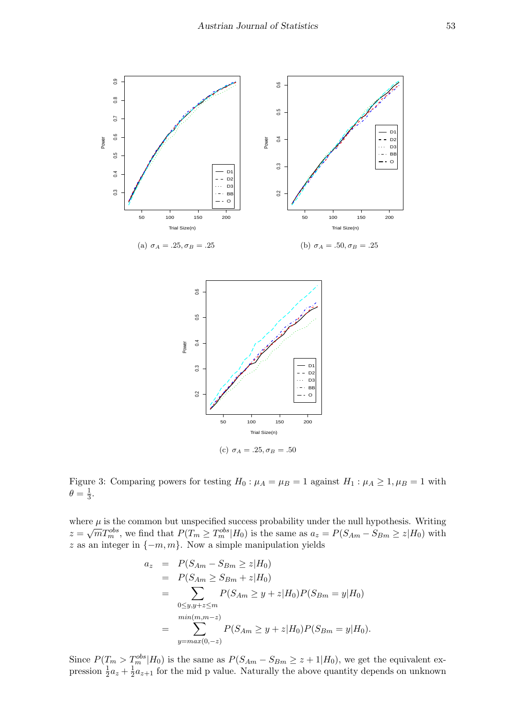

Figure 3: Comparing powers for testing  $H_0: \mu_A = \mu_B = 1$  against  $H_1: \mu_A \geq 1, \mu_B = 1$  with  $\theta = \frac{1}{3}$  $\frac{1}{3}$ .

where  $\mu$  is the common but unspecified success probability under the null hypothesis. Writing where  $\mu$  is the common out dispectived success probability under the full hypothesis. Writing  $z = \sqrt{m}T_{m}^{obs}$ , we find that  $P(T_m \geq T_{m}^{obs}|H_0)$  is the same as  $a_z = P(S_{Am} - S_{Bm} \geq z|H_0)$  with z as an integer in  $\{-m, m\}$ . Now a simple manipulation yields

$$
a_z = P(S_{Am} - S_{Bm} \ge z | H_0)
$$
  
=  $P(S_{Am} \ge S_{Bm} + z | H_0)$   
=  $\sum_{0 \le y, y+z \le m} P(S_{Am} \ge y + z | H_0) P(S_{Bm} = y | H_0)$   
=  $\sum_{min(m,m-z)}^{min(m,m-z)} P(S_{Am} \ge y + z | H_0) P(S_{Bm} = y | H_0).$ 

Since  $P(T_m > T_m^{obs}|H_0)$  is the same as  $P(S_{Am} - S_{Bm} \geq z + 1|H_0)$ , we get the equivalent expression  $\frac{1}{2}a_z + \frac{1}{2}$  $\frac{1}{2}a_{z+1}$  for the mid p value. Naturally the above quantity depends on unknown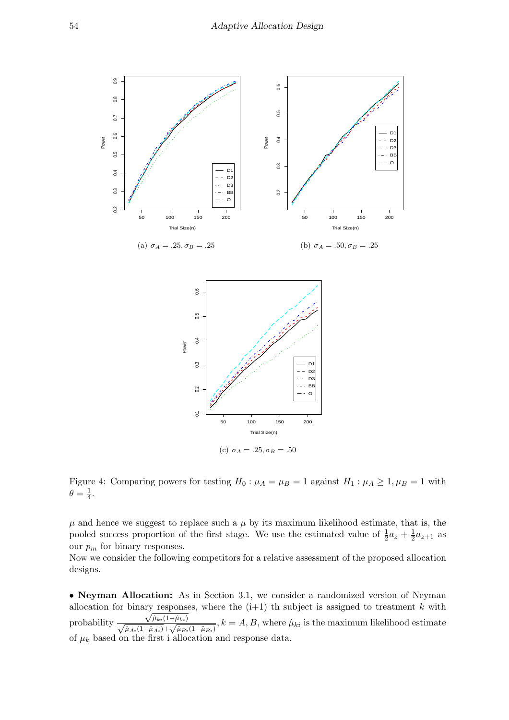

Figure 4: Comparing powers for testing  $H_0: \mu_A = \mu_B = 1$  against  $H_1: \mu_A \geq 1, \mu_B = 1$  with  $\theta = \frac{1}{4}$  $\frac{1}{4}$ .

 $\mu$  and hence we suggest to replace such a  $\mu$  by its maximum likelihood estimate, that is, the pooled success proportion of the first stage. We use the estimated value of  $\frac{1}{2}a_z + \frac{1}{2}$  $\frac{1}{2}a_{z+1}$  as our  $p_m$  for binary responses.

Now we consider the following competitors for a relative assessment of the proposed allocation designs.

• Neyman Allocation: As in Section 3.1, we consider a randomized version of Neyman allocation for binary responses, where the  $(i+1)$  th subject is assigned to treatment k with probability  $\frac{\sqrt{\hat{\mu}_{ki}(1-\hat{\mu}_{ki})}}{\sqrt{\hat{\mu}_{Ai}(1-\hat{\mu}_{Ai})}+\sqrt{\hat{\mu}_{Bi}(1-\hat{\mu}_{Bi})}}, k=A, B$ , where  $\hat{\mu}_{ki}$  is the maximum likelihood estimate of  $\mu_k$  based on the first i allocation and response data.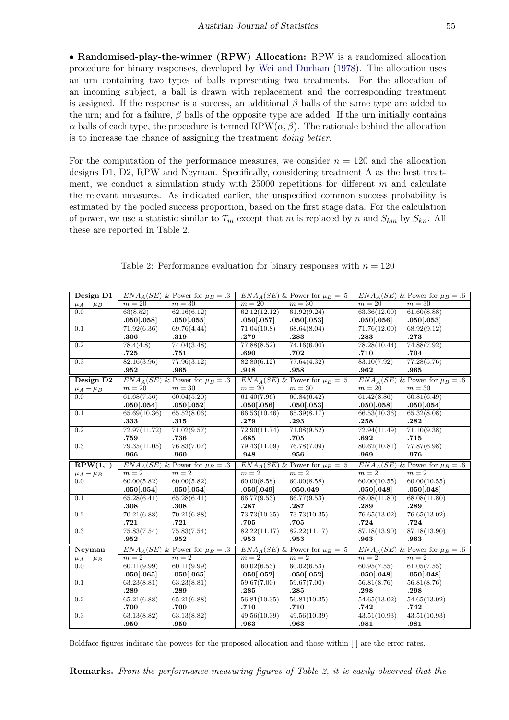• Randomised-play-the-winner (RPW) Allocation: RPW is a randomized allocation procedure for binary responses, developed by [Wei and Durham](#page-18-15) [\(1978\)](#page-18-15). The allocation uses an urn containing two types of balls representing two treatments. For the allocation of an incoming subject, a ball is drawn with replacement and the corresponding treatment is assigned. If the response is a success, an additional  $\beta$  balls of the same type are added to the urn; and for a failure,  $\beta$  balls of the opposite type are added. If the urn initially contains α balls of each type, the procedure is termed  $RPW(α, β)$ . The rationale behind the allocation is to increase the chance of assigning the treatment doing better.

For the computation of the performance measures, we consider  $n = 120$  and the allocation designs D1, D2, RPW and Neyman. Specifically, considering treatment A as the best treatment, we conduct a simulation study with  $25000$  repetitions for different m and calculate the relevant measures. As indicated earlier, the unspecified common success probability is estimated by the pooled success proportion, based on the first stage data. For the calculation of power, we use a statistic similar to  $T_m$  except that m is replaced by n and  $S_{km}$  by  $S_{kn}$ . All these are reported in Table 2.

| Design D1                    |                     | $ENAA(SE)$ & Power for $\mu_B = .3$ |              | $ENAA(SE)$ & Power for $\mu_B = .5$  |              | $ENA_A(SE)$ & Power for $\mu_B = .6$ |
|------------------------------|---------------------|-------------------------------------|--------------|--------------------------------------|--------------|--------------------------------------|
| $\mu_A-\mu_B$                | $m=20$              | $m=30$                              | $m=20$       | $m=30$                               | $m=20$       | $m=30$                               |
| 0.0                          | 63(8.52)            | 62.16(6.12)                         | 62.12(12.12) | 61.92(9.24)                          | 63.36(12.00) | 61.60(8.88)                          |
|                              | .050[.058]          | .050[.055]                          | .050[.057]   | .050[.053]                           | .050[.056]   | .050[.053]                           |
| 0.1                          | 71.92(6.36)         | 69.76(4.44)                         | 71.04(10.8)  | 68.64(8.04)                          | 71.76(12.00) | 68.92(9.12)                          |
|                              | .306                | .319                                | .279         | .283                                 | .283         | .273                                 |
| $\overline{0.2}$             | 78.4(4.8)           | 74.04(3.48)                         | 77.88(8.52)  | 74.16(6.00)                          | 78.28(10.44) | 74.88(7.92)                          |
|                              | .725                | .751                                | .690         | .702                                 | .710         | .704                                 |
| 0.3                          | 82.16(3.96)         | 77.96(3.12)                         | 82.80(6.12)  | 77.64(4.32)                          | 83.10(7.92)  | 77.28(5.76)                          |
|                              | .952                | .965                                | .948         | .958                                 | .962         | .965                                 |
| Design D <sub>2</sub>        |                     | $ENAA(SE)$ & Power for $\mu_B = .3$ |              | $ENAA(SE)$ & Power for $\mu_B = .5$  |              | $ENA_A(SE)$ & Power for $\mu_B = .6$ |
| $\mu_A - \mu_B$              | $m=20$              | $m=30$                              | $m=20$       | $m=30$                               | $m=20$       | $m=30$                               |
| $0.0^{\circ}$                | 61.68(7.56)         | 60.04(5.20)                         | 61.40(7.96)  | 60.84(6.42)                          | 61.42(8.86)  | 60.81(6.49)                          |
|                              | .050[.054]          | .050[.052]                          | .050[.056]   | .050[.053]                           | .050[.058]   | .050[.054]                           |
| $\overline{0.1}$             | 65.69(10.36)        | 65.52(8.06)                         | 66.53(10.46) | 65.39(8.17)                          | 66.53(10.36) | 65.32(8.08)                          |
|                              | $\boldsymbol{.333}$ | .315                                | .279         | .293                                 | .258         | .282                                 |
| 0.2                          | 72.97(11.72)        | 71.02(9.57)                         | 72.90(11.74) | 71.08(9.52)                          | 72.94(11.49) | 71.10(9.38)                          |
|                              | .759                | .736                                | .685         | .705                                 | .692         | .715                                 |
| $\overline{0.3}$             | 79.35(11.05)        | 76.83(7.07)                         | 79.43(11.09) | 76.78(7.09)                          | 80.62(10.81) | 77.87(6.98)                          |
|                              | .966                | .960                                | .948         | .956                                 | .969         | .976                                 |
| $\overline{\text{RPW}(1,1)}$ |                     | $ENAA(SE)$ & Power for $\mu_B = .3$ |              | $ENA_A(SE)$ & Power for $\mu_B = .5$ |              | $ENA_A(SE)$ & Power for $\mu_B = .6$ |
| $\frac{\mu_A - \mu_B}{0.0}$  | $m=2$               | $m=2$                               | $m=2$        | $m=2$                                | $m=2$        | $m=2$                                |
|                              | 60.00(5.82)         | 60.00(5.82)                         | 60.00(8.58)  | 60.00(8.58)                          | 60.00(10.55) | 60.00(10.55)                         |
|                              | .050[.054]          | .050[.054]                          | .050[.049]   | .050.049                             | .050[.048]   | .050[.048]                           |
| 0.1                          | 65.28(6.41)         | 65.28(6.41)                         | 66.77(9.53)  | 66.77(9.53)                          | 68.08(11.80) | 68.08(11.80)                         |
|                              | .308                | .308                                | .287         | .287                                 | .289         | .289                                 |
| $\overline{0.2}$             | 70.21(6.88)         | 70.21(6.88)                         | 73.73(10.35) | 73.73(10.35)                         | 76.65(13.02) | 76.65(13.02)                         |
|                              | .721                | .721                                | .705         | .705                                 | .724         | .724                                 |
| $\overline{0.3}$             | 75.83(7.54)         | 75.83(7.54)                         | 82.22(11.17) | 82.22(11.17)                         | 87.18(13.90) | 87.18(13.90)                         |
|                              | .952                | .952                                | .953         | .953                                 | .963         | .963                                 |
| Neyman                       |                     | $ENAA(SE)$ & Power for $\mu_B = .3$ |              | $ENAA(SE)$ & Power for $\mu_B = .5$  |              | $ENAA(SE)$ & Power for $\mu_B = .6$  |
| $\mu_A - \mu_B$              | $m=2\,$             | $m=2$                               | $m=2$        | $m=2$                                | $m=2$        | $m=2$                                |
| 0.0                          | 60.11(9.99)         | 60.11(9.99)                         | 60.02(6.53)  | 60.02(6.53)                          | 60.95(7.55)  | 61.05(7.55)                          |
|                              | .050[.065]          | .050[.065]                          | .050[.052]   | .050[.052]                           | .050[.048]   | .050[.048]                           |
| 0.1                          | 63.23(8.81)         | 63.23(8.81)                         | 59.67(7.00)  | 59.67(7.00)                          | 56.81(8.76)  | 56.81(8.76)                          |
|                              | .289                | .289                                | .285         | .285                                 | .298         | .298                                 |
| $\overline{0.2}$             | 65.21(6.88)         | 65.21(6.88)                         | 56.81(10.35) | 56.81(10.35)                         | 54.65(13.02) | 54.65(13.02)                         |
|                              | .700                | .700                                | .710         | .710                                 | .742         | .742                                 |
| 0.3                          | 63.13(8.82)         | 63.13(8.82)                         | 49.56(10.39) | 49.56(10.39)                         | 43.51(10.93) | 43.51(10.93)                         |
|                              | .950                | .950                                | .963         | .963                                 | .981         | .981                                 |

| Table 2: Performance evaluation for binary responses with $n = 120$ |  |  |  |  |  |
|---------------------------------------------------------------------|--|--|--|--|--|
|---------------------------------------------------------------------|--|--|--|--|--|

Boldface figures indicate the powers for the proposed allocation and those within [ ] are the error rates.

Remarks. From the performance measuring figures of Table 2, it is easily observed that the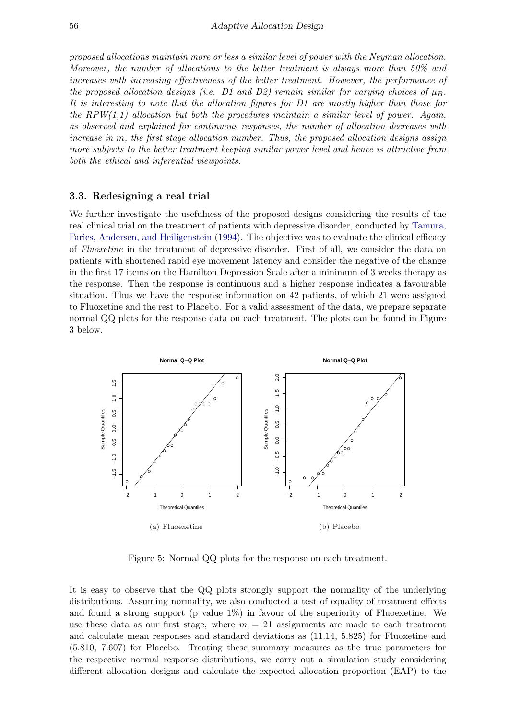proposed allocations maintain more or less a similar level of power with the Neyman allocation. Moreover, the number of allocations to the better treatment is always more than 50% and increases with increasing effectiveness of the better treatment. However, the performance of the proposed allocation designs (i.e. D1 and D2) remain similar for varying choices of  $\mu_B$ . It is interesting to note that the allocation figures for D1 are mostly higher than those for the RPW $(1,1)$  allocation but both the procedures maintain a similar level of power. Again, as observed and explained for continuous responses, the number of allocation decreases with increase in m, the first stage allocation number. Thus, the proposed allocation designs assign more subjects to the better treatment keeping similar power level and hence is attractive from both the ethical and inferential viewpoints.

#### 3.3. Redesigning a real trial

We further investigate the usefulness of the proposed designs considering the results of the real clinical trial on the treatment of patients with depressive disorder, conducted by [Tamura,](#page-18-16) [Faries, Andersen, and Heiligenstein](#page-18-16) [\(1994\)](#page-18-16). The objective was to evaluate the clinical efficacy of Fluoxetine in the treatment of depressive disorder. First of all, we consider the data on patients with shortened rapid eye movement latency and consider the negative of the change in the first 17 items on the Hamilton Depression Scale after a minimum of 3 weeks therapy as the response. Then the response is continuous and a higher response indicates a favourable situation. Thus we have the response information on 42 patients, of which 21 were assigned to Fluoxetine and the rest to Placebo. For a valid assessment of the data, we prepare separate normal QQ plots for the response data on each treatment. The plots can be found in Figure 3 below.



Figure 5: Normal QQ plots for the response on each treatment.

It is easy to observe that the QQ plots strongly support the normality of the underlying distributions. Assuming normality, we also conducted a test of equality of treatment effects and found a strong support (p value  $1\%$ ) in favour of the superiority of Fluoexetine. We use these data as our first stage, where  $m = 21$  assignments are made to each treatment and calculate mean responses and standard deviations as (11.14, 5.825) for Fluoxetine and (5.810, 7.607) for Placebo. Treating these summary measures as the true parameters for the respective normal response distributions, we carry out a simulation study considering different allocation designs and calculate the expected allocation proportion (EAP) to the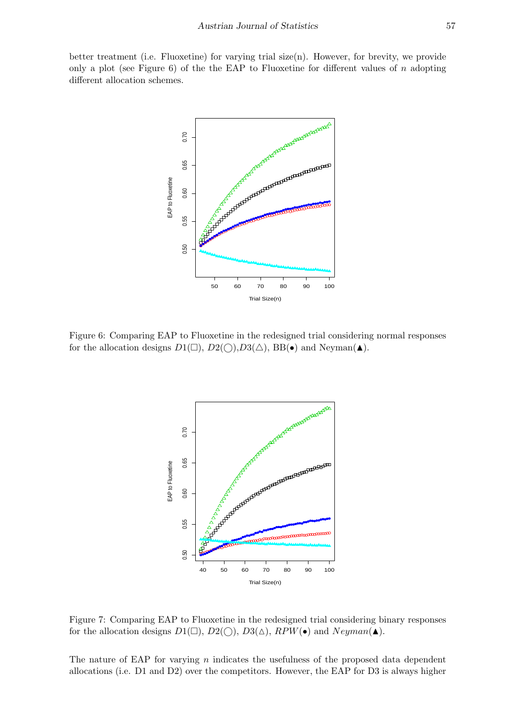better treatment (i.e. Fluoxetine) for varying trial size(n). However, for brevity, we provide only a plot (see Figure 6) of the the EAP to Fluoxetine for different values of  $n$  adopting different allocation schemes.



Figure 6: Comparing EAP to Fluoxetine in the redesigned trial considering normal responses for the allocation designs  $D1(\Box)$ ,  $D2(\bigcirc)$ ,  $D3(\triangle)$ , BB(•) and Neyman( $\blacktriangle$ ).



Figure 7: Comparing EAP to Fluoxetine in the redesigned trial considering binary responses for the allocation designs  $D_1(\Box)$ ,  $D_2(\bigcirc)$ ,  $D_3(\Delta)$ ,  $RPW(\bullet)$  and  $Neyman(\blacktriangle)$ .

The nature of EAP for varying  $n$  indicates the usefulness of the proposed data dependent allocations (i.e. D1 and D2) over the competitors. However, the EAP for D3 is always higher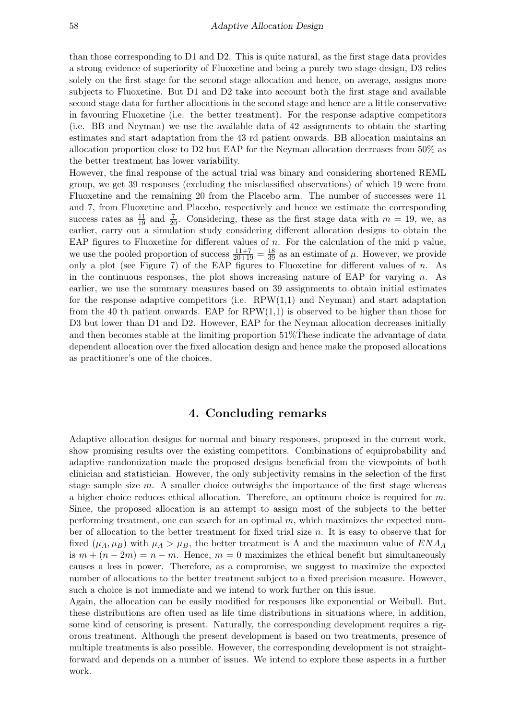than those corresponding to D1 and D2. This is quite natural, as the first stage data provides a strong evidence of superiority of Fluoxetine and being a purely two stage design, D3 relies solely on the first stage for the second stage allocation and hence, on average, assigns more subjects to Fluoxetine. But D1 and D2 take into account both the first stage and available second stage data for further allocations in the second stage and hence are a little conservative in favouring Fluoxetine (i.e. the better treatment). For the response adaptive competitors (i.e. BB and Neyman) we use the available data of 42 assignments to obtain the starting estimates and start adaptation from the 43 rd patient onwards. BB allocation maintains an allocation proportion close to D2 but EAP for the Neyman allocation decreases from 50% as the better treatment has lower variability.

However, the final response of the actual trial was binary and considering shortened REML group, we get 39 responses (excluding the misclassified observations) of which 19 were from Fluoxetine and the remaining 20 from the Placebo arm. The number of successes were 11 and 7, from Fluoxetine and Placebo, respectively and hence we estimate the corresponding success rates as  $\frac{11}{19}$  and  $\frac{7}{20}$ . Considering, these as the first stage data with  $m = 19$ , we, as earlier, carry out a simulation study considering different allocation designs to obtain the EAP figures to Fluoxetine for different values of  $n$ . For the calculation of the mid p value, we use the pooled proportion of success  $\frac{11+7}{20+19} = \frac{18}{39}$  as an estimate of  $\mu$ . However, we provide only a plot (see Figure 7) of the EAP figures to Fluoxetine for different values of n. As in the continuous responses, the plot shows increasing nature of EAP for varying n. As earlier, we use the summary measures based on 39 assignments to obtain initial estimates for the response adaptive competitors (i.e.  $RPW(1,1)$  and Neyman) and start adaptation from the 40 th patient onwards. EAP for  $RPW(1,1)$  is observed to be higher than those for D3 but lower than D1 and D2. However, EAP for the Neyman allocation decreases initially and then becomes stable at the limiting proportion  $51\%$ These indicate the advantage of data dependent allocation over the fixed allocation design and hence make the proposed allocations as practitioner's one of the choices.

## 4. Concluding remarks

Adaptive allocation designs for normal and binary responses, proposed in the current work, show promising results over the existing competitors. Combinations of equiprobability and adaptive randomization made the proposed designs beneficial from the viewpoints of both clinician and statistician. However, the only subjectivity remains in the selection of the first stage sample size  $m$ . A smaller choice outweighs the importance of the first stage whereas a higher choice reduces ethical allocation. Therefore, an optimum choice is required for  $m$ . Since, the proposed allocation is an attempt to assign most of the subjects to the better performing treatment, one can search for an optimal  $m$ , which maximizes the expected number of allocation to the better treatment for fixed trial size  $n$ . It is easy to observe that for fixed  $(\mu_A, \mu_B)$  with  $\mu_A > \mu_B$ , the better treatment is A and the maximum value of  $ENA_A$ is  $m + (n - 2m) = n - m$ . Hence,  $m = 0$  maximizes the ethical benefit but simultaneously causes a loss in power. Therefore, as a compromise, we suggest to maximize the expected number of allocations to the better treatment subject to a fixed precision measure. However, such a choice is not immediate and we intend to work further on this issue.

Again, the allocation can be easily modified for responses like exponential or Weibull. But, these distributions are often used as life time distributions in situations where, in addition, some kind of censoring is present. Naturally, the corresponding development requires a rigorous treatment. Although the present development is based on two treatments, presence of multiple treatments is also possible. However, the corresponding development is not straightforward and depends on a number of issues. We intend to explore these aspects in a further work.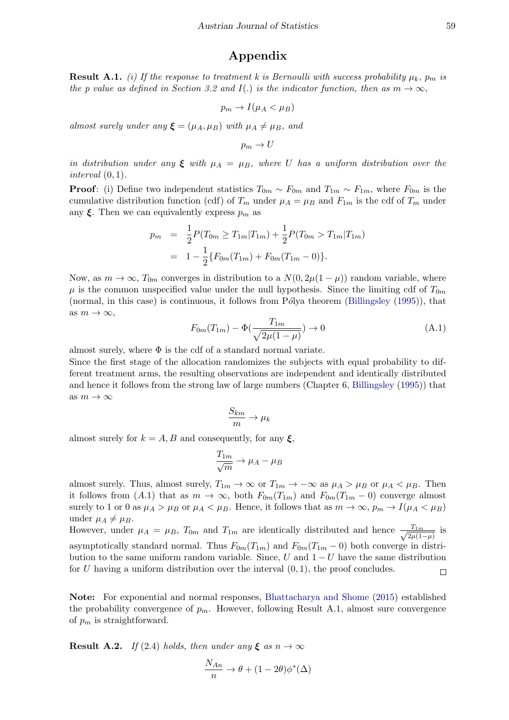# Appendix

**Result A.1.** (i) If the response to treatment k is Bernoulli with success probability  $\mu_k$ ,  $p_m$  is the p value as defined in Section 3.2 and I(.) is the indicator function, then as  $m \to \infty$ ,

$$
p_m \to I(\mu_A < \mu_B)
$$

almost surely under any  $\xi = (\mu_A, \mu_B)$  with  $\mu_A \neq \mu_B$ , and

 $p_m \to U$ 

in distribution under any  $\xi$  with  $\mu_A = \mu_B$ , where U has a uniform distribution over the *interval*  $(0, 1)$ .

**Proof**: (i) Define two independent statistics  $T_{0m} \sim F_{0m}$  and  $T_{1m} \sim F_{1m}$ , where  $F_{0m}$  is the cumulative distribution function (cdf) of  $T_m$  under  $\mu_A = \mu_B$  and  $F_{1m}$  is the cdf of  $T_m$  under any  $\xi$ . Then we can equivalently express  $p_m$  as

$$
p_m = \frac{1}{2} P(T_{0m} \ge T_{1m} | T_{1m}) + \frac{1}{2} P(T_{0m} > T_{1m} | T_{1m})
$$
  
= 
$$
1 - \frac{1}{2} \{ F_{0m}(T_{1m}) + F_{0m}(T_{1m} - 0) \}.
$$

Now, as  $m \to \infty$ ,  $T_{0m}$  converges in distribution to a  $N(0, 2\mu(1 - \mu))$  random variable, where  $\mu$  is the common unspecified value under the null hypothesis. Since the limiting cdf of  $T_{0m}$ (normal, in this case) is continuous, it follows from Pólya theorem [\(Billingsley](#page-18-17)  $(1995)$ ), that as  $m \to \infty$ ,

$$
F_{0m}(T_{1m}) - \Phi(\frac{T_{1m}}{\sqrt{2\mu(1-\mu)}}) \to 0
$$
\n(A.1)

almost surely, where  $\Phi$  is the cdf of a standard normal variate.

Since the first stage of the allocation randomizes the subjects with equal probability to different treatment arms, the resulting observations are independent and identically distributed and hence it follows from the strong law of large numbers (Chapter 6, [Billingsley](#page-18-17) [\(1995\)](#page-18-17)) that as  $m \to \infty$ 

$$
\frac{S_{km}}{m} \to \mu_k
$$

almost surely for  $k = A, B$  and consequently, for any  $\xi$ ,

$$
\frac{T_{1m}}{\sqrt{m}}\rightarrow \mu_A-\mu_B
$$

almost surely. Thus, almost surely,  $T_{1m} \to \infty$  or  $T_{1m} \to -\infty$  as  $\mu_A > \mu_B$  or  $\mu_A < \mu_B$ . Then it follows from (A.1) that as  $m \to \infty$ , both  $F_{0m}(T_{1m})$  and  $F_{0m}(T_{1m} - 0)$  converge almost surely to 1 or 0 as  $\mu_A > \mu_B$  or  $\mu_A < \mu_B$ . Hence, it follows that as  $m \to \infty$ ,  $p_m \to I(\mu_A < \mu_B)$ under  $\mu_A \neq \mu_B$ .

However, under  $\mu_A = \mu_B$ ,  $T_{0m}$  and  $T_{1m}$  are identically distributed and hence  $\frac{T_{1m}}{\sqrt{2m}}$  $\frac{T_{1m}}{2\mu(1-\mu)}$  is asymptotically standard normal. Thus  $F_{0m}(T_{1m})$  and  $F_{0m}(T_{1m} - 0)$  both converge in distribution to the same uniform random variable. Since, U and  $1-U$  have the same distribution for U having a uniform distribution over the interval  $(0, 1)$ , the proof concludes.  $\Box$ 

Note: For exponential and normal responses, [Bhattacharya and Shome](#page-18-8) [\(2015\)](#page-18-8) established the probability convergence of  $p_m$ . However, following Result A.1, almost sure convergence of  $p_m$  is straightforward.

**Result A.2.** If (2.4) holds, then under any  $\xi$  as  $n \to \infty$ 

$$
\frac{N_{An}}{n} \to \theta + (1 - 2\theta)\phi^*(\Delta)
$$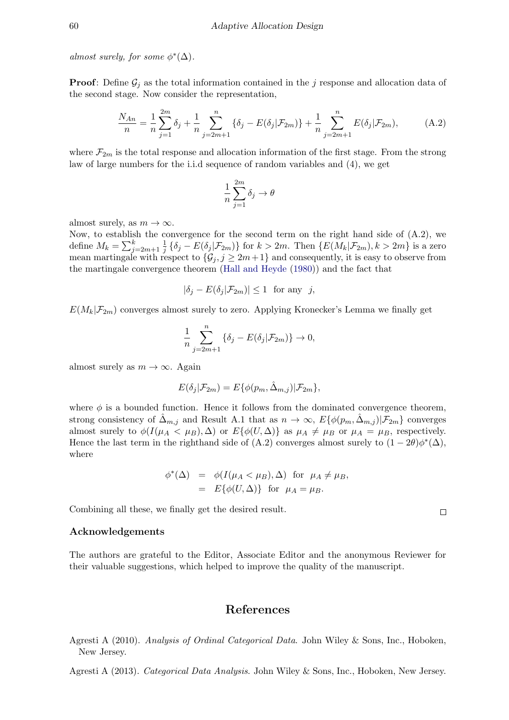almost surely, for some  $\phi^*(\Delta)$ .

**Proof**: Define  $\mathcal{G}_i$  as the total information contained in the j response and allocation data of the second stage. Now consider the representation,

$$
\frac{N_{An}}{n} = \frac{1}{n} \sum_{j=1}^{2m} \delta_j + \frac{1}{n} \sum_{j=2m+1}^{n} \{ \delta_j - E(\delta_j | \mathcal{F}_{2m}) \} + \frac{1}{n} \sum_{j=2m+1}^{n} E(\delta_j | \mathcal{F}_{2m}), \tag{A.2}
$$

where  $\mathcal{F}_{2m}$  is the total response and allocation information of the first stage. From the strong law of large numbers for the i.i.d sequence of random variables and (4), we get

$$
\frac{1}{n}\sum_{j=1}^{2m}\delta_j\to\theta
$$

almost surely, as  $m \to \infty$ .

Now, to establish the convergence for the second term on the right hand side of  $(A.2)$ , we define  $M_k = \sum_{j=2m+1}^k \frac{1}{j}$  $\frac{1}{j} \{\delta_j - E(\delta_j | \mathcal{F}_{2m})\}$  for  $k > 2m$ . Then  $\{E(M_k | \mathcal{F}_{2m}), k > 2m\}$  is a zero mean martingale with respect to  $\{\mathcal{G}_j, j \geq 2m+1\}$  and consequently, it is easy to observe from the martingale convergence theorem [\(Hall and Heyde](#page-18-18) [\(1980\)](#page-18-18)) and the fact that

$$
|\delta_j - E(\delta_j|\mathcal{F}_{2m})| \le 1 \text{ for any } j,
$$

 $E(M_k|\mathcal{F}_{2m})$  converges almost surely to zero. Applying Kronecker's Lemma we finally get

$$
\frac{1}{n} \sum_{j=2m+1}^{n} \left\{ \delta_j - E(\delta_j | \mathcal{F}_{2m}) \right\} \to 0,
$$

almost surely as  $m \to \infty$ . Again

$$
E(\delta_j|\mathcal{F}_{2m}) = E\{\phi(p_m, \hat{\Delta}_{m,j})|\mathcal{F}_{2m}\},\
$$

where  $\phi$  is a bounded function. Hence it follows from the dominated convergence theorem, strong consistency of  $\Delta_{m,j}$  and Result A.1 that as  $n \to \infty$ ,  $E\{\phi(p_m, \Delta_{m,j}) | \mathcal{F}_{2m}\}\)$  converges almost surely to  $\phi(I(\mu_A < \mu_B), \Delta)$  or  $E{\phi(U, \Delta)}$  as  $\mu_A \neq \mu_B$  or  $\mu_A = \mu_B$ , respectively. Hence the last term in the righthand side of (A.2) converges almost surely to  $(1 - 2\theta)\phi^*(\Delta)$ , where

$$
\phi^*(\Delta) = \phi(I(\mu_A < \mu_B), \Delta) \text{ for } \mu_A \neq \mu_B,
$$
  
=  $E\{\phi(U, \Delta)\}\text{ for } \mu_A = \mu_B.$ 

Combining all these, we finally get the desired result.

#### Acknowledgements

The authors are grateful to the Editor, Associate Editor and the anonymous Reviewer for their valuable suggestions, which helped to improve the quality of the manuscript.

### References

<span id="page-17-0"></span>Agresti A (2010). Analysis of Ordinal Categorical Data. John Wiley & Sons, Inc., Hoboken, New Jersey.

<span id="page-17-1"></span>Agresti A (2013). Categorical Data Analysis. John Wiley & Sons, Inc., Hoboken, New Jersey.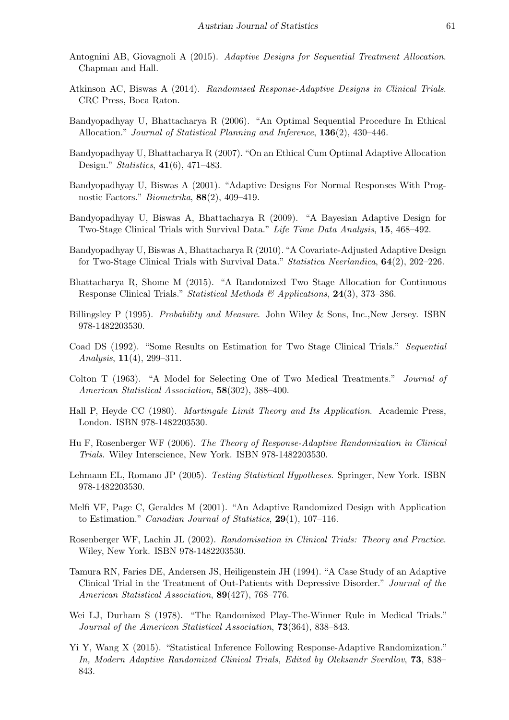- <span id="page-18-3"></span>Antognini AB, Giovagnoli A (2015). Adaptive Designs for Sequential Treatment Allocation. Chapman and Hall.
- <span id="page-18-2"></span>Atkinson AC, Biswas A (2014). Randomised Response-Adaptive Designs in Clinical Trials. CRC Press, Boca Raton.
- <span id="page-18-4"></span>Bandyopadhyay U, Bhattacharya R (2006). "An Optimal Sequential Procedure In Ethical Allocation." Journal of Statistical Planning and Inference, 136(2), 430–446.
- <span id="page-18-5"></span>Bandyopadhyay U, Bhattacharya R (2007). "On an Ethical Cum Optimal Adaptive Allocation Design." Statistics, 41(6), 471–483.
- <span id="page-18-9"></span>Bandyopadhyay U, Biswas A (2001). "Adaptive Designs For Normal Responses With Prognostic Factors." Biometrika, 88(2), 409–419.
- <span id="page-18-6"></span>Bandyopadhyay U, Biswas A, Bhattacharya R (2009). "A Bayesian Adaptive Design for Two-Stage Clinical Trials with Survival Data." Life Time Data Analysis, 15, 468–492.
- <span id="page-18-7"></span>Bandyopadhyay U, Biswas A, Bhattacharya R (2010). "A Covariate-Adjusted Adaptive Design for Two-Stage Clinical Trials with Survival Data." Statistica Neerlandica, 64(2), 202–226.
- <span id="page-18-8"></span>Bhattacharya R, Shome M (2015). "A Randomized Two Stage Allocation for Continuous Response Clinical Trials." Statistical Methods & Applications, 24(3), 373-386.
- <span id="page-18-17"></span>Billingsley P (1995). Probability and Measure. John Wiley & Sons, Inc.,New Jersey. ISBN 978-1482203530.
- <span id="page-18-1"></span>Coad DS (1992). "Some Results on Estimation for Two Stage Clinical Trials." Sequential Analysis, 11(4), 299–311.
- <span id="page-18-0"></span>Colton T (1963). "A Model for Selecting One of Two Medical Treatments." Journal of American Statistical Association, 58(302), 388–400.
- <span id="page-18-18"></span>Hall P, Heyde CC (1980). Martingale Limit Theory and Its Application. Academic Press, London. ISBN 978-1482203530.
- <span id="page-18-13"></span>Hu F, Rosenberger WF (2006). The Theory of Response-Adaptive Randomization in Clinical Trials. Wiley Interscience, New York. ISBN 978-1482203530.
- <span id="page-18-11"></span>Lehmann EL, Romano JP (2005). Testing Statistical Hypotheses. Springer, New York. ISBN 978-1482203530.
- <span id="page-18-12"></span>Melfi VF, Page C, Geraldes M (2001). "An Adaptive Randomized Design with Application to Estimation." Canadian Journal of Statistics, 29(1), 107–116.
- <span id="page-18-10"></span>Rosenberger WF, Lachin JL (2002). Randomisation in Clinical Trials: Theory and Practice. Wiley, New York. ISBN 978-1482203530.
- <span id="page-18-16"></span>Tamura RN, Faries DE, Andersen JS, Heiligenstein JH (1994). "A Case Study of an Adaptive Clinical Trial in the Treatment of Out-Patients with Depressive Disorder." Journal of the American Statistical Association, **89**(427), 768–776.
- <span id="page-18-15"></span>Wei LJ, Durham S (1978). "The Randomized Play-The-Winner Rule in Medical Trials." Journal of the American Statistical Association, 73(364), 838–843.
- <span id="page-18-14"></span>Yi Y, Wang X (2015). "Statistical Inference Following Response-Adaptive Randomization." In, Modern Adaptive Randomized Clinical Trials, Edited by Oleksandr Sverdlov, 73, 838– 843.